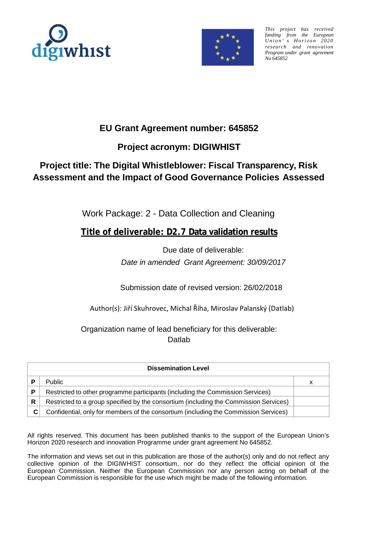



*This project has received funding from the European Union ' s Horizo n 2020 research and innovation Program under grant agreement No 645852*

### **EU Grant Agreement number: 645852**

### **Project acronym: DIGIWHIST**

# **Project title: The Digital Whistleblower: Fiscal Transparency, Risk Assessment and the Impact of Good Governance Policies Assessed**

Work Package: 2 - Data Collection and Cleaning

**Title of deliverable: D2.7 Data validation results**

Due date of deliverable: *Date in amended Grant Agreement: 30/09/2017*

Submission date of revised version: 26/02/2018

Author(s): Jiří Skuhrovec, Michal Říha, Miroslav Palanský (Datlab)

Organization name of lead beneficiary for this deliverable: **Datlab** 

| <b>Dissemination Level</b> |                                                                                       |   |  |  |  |  |  |
|----------------------------|---------------------------------------------------------------------------------------|---|--|--|--|--|--|
| D                          | <b>Public</b>                                                                         | x |  |  |  |  |  |
| P                          | Restricted to other programme participants (including the Commission Services)        |   |  |  |  |  |  |
| R                          | Restricted to a group specified by the consortium (including the Commission Services) |   |  |  |  |  |  |
| C                          | Confidential, only for members of the consortium (including the Commission Services)  |   |  |  |  |  |  |

All rights reserved. This document has been published thanks to the support of the European Union's Horizon 2020 research and innovation Programme under grant agreement No 645852.

The information and views set out in this publication are those of the author(s) only and do not reflect any collective opinion of the DIGIWHIST consortium, nor do they reflect the official opinion of the European Commission. Neither the European Commission nor any person acting on behalf of the European Commission is responsible for the use which might be made of the following information.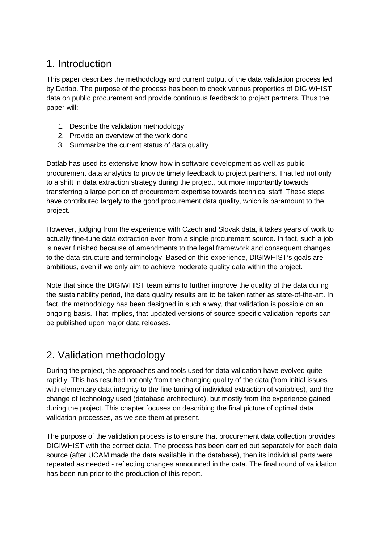## 1. Introduction

This paper describes the methodology and current output of the data validation process led by Datlab. The purpose of the process has been to check various properties of DIGIWHIST data on public procurement and provide continuous feedback to project partners. Thus the paper will:

- 1. Describe the validation methodology
- 2. Provide an overview of the work done
- 3. Summarize the current status of data quality

Datlab has used its extensive know-how in software development as well as public procurement data analytics to provide timely feedback to project partners. That led not only to a shift in data extraction strategy during the project, but more importantly towards transferring a large portion of procurement expertise towards technical staff. These steps have contributed largely to the good procurement data quality, which is paramount to the project.

However, judging from the experience with Czech and Slovak data, it takes years of work to actually fine-tune data extraction even from a single procurement source. In fact, such a job is never finished because of amendments to the legal framework and consequent changes to the data structure and terminology. Based on this experience, DIGIWHIST's goals are ambitious, even if we only aim to achieve moderate quality data within the project.

Note that since the DIGIWHIST team aims to further improve the quality of the data during the sustainability period, the data quality results are to be taken rather as state-of-the-art. In fact, the methodology has been designed in such a way, that validation is possible on an ongoing basis. That implies, that updated versions of source-specific validation reports can be published upon major data releases.

# 2. Validation methodology

During the project, the approaches and tools used for data validation have evolved quite rapidly. This has resulted not only from the changing quality of the data (from initial issues with elementary data integrity to the fine tuning of individual extraction of variables), and the change of technology used (database architecture), but mostly from the experience gained during the project. This chapter focuses on describing the final picture of optimal data validation processes, as we see them at present.

The purpose of the validation process is to ensure that procurement data collection provides DIGIWHIST with the correct data. The process has been carried out separately for each data source (after UCAM made the data available in the database), then its individual parts were repeated as needed - reflecting changes announced in the data. The final round of validation has been run prior to the production of this report.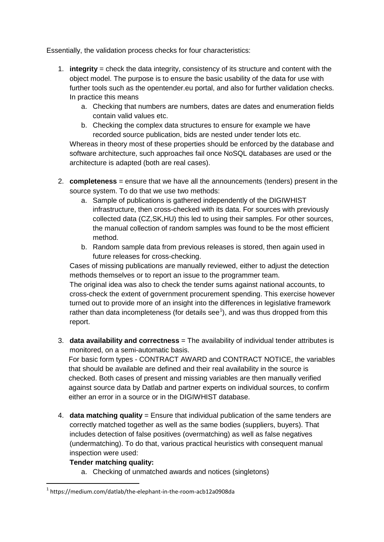Essentially, the validation process checks for four characteristics:

- 1. **integrity** = check the data integrity, consistency of its structure and content with the object model. The purpose is to ensure the basic usability of the data for use with further tools such as the opentender.eu portal, and also for further validation checks. In practice this means
	- a. Checking that numbers are numbers, dates are dates and enumeration fields contain valid values etc.
	- b. Checking the complex data structures to ensure for example we have recorded source publication, bids are nested under tender lots etc.

Whereas in theory most of these properties should be enforced by the database and software architecture, such approaches fail once NoSQL databases are used or the architecture is adapted (both are real cases).

- 2. **completeness** = ensure that we have all the announcements (tenders) present in the source system. To do that we use two methods:
	- a. Sample of publications is gathered independently of the DIGIWHIST infrastructure, then cross-checked with its data. For sources with previously collected data (CZ,SK,HU) this led to using their samples. For other sources, the manual collection of random samples was found to be the most efficient method.
	- b. Random sample data from previous releases is stored, then again used in future releases for cross-checking.

Cases of missing publications are manually reviewed, either to adjust the detection methods themselves or to report an issue to the programmer team.

The original idea was also to check the tender sums against national accounts, to cross-check the extent of government procurement spending. This exercise however turned out to provide more of an insight into the differences in legislative framework rather than data incompleteness (for details see $<sup>1</sup>$  $<sup>1</sup>$  $<sup>1</sup>$ ), and was thus dropped from this</sup> report.

3. **data availability and correctness** = The availability of individual tender attributes is monitored, on a semi-automatic basis.

For basic form types - CONTRACT AWARD and CONTRACT NOTICE, the variables that should be available are defined and their real availability in the source is checked. Both cases of present and missing variables are then manually verified against source data by Datlab and partner experts on individual sources, to confirm either an error in a source or in the DIGIWHIST database.

4. **data matching quality** = Ensure that individual publication of the same tenders are correctly matched together as well as the same bodies (suppliers, buyers). That includes detection of false positives (overmatching) as well as false negatives (undermatching). To do that, various practical heuristics with consequent manual inspection were used:

#### **Tender matching quality:**

a. Checking of unmatched awards and notices (singletons)

<span id="page-2-0"></span> <sup>1</sup> https://medium.com/datlab/the-elephant-in-the-room-acb12a0908da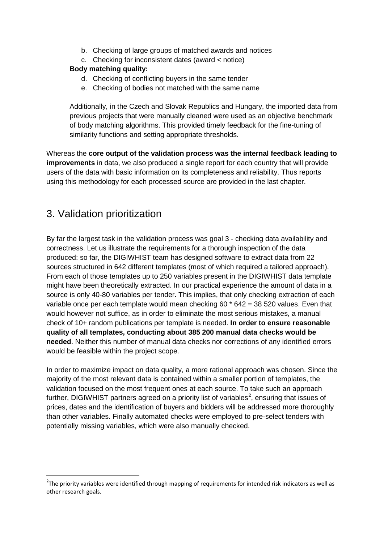- b. Checking of large groups of matched awards and notices
- c. Checking for inconsistent dates (award < notice)

#### **Body matching quality:**

- d. Checking of conflicting buyers in the same tender
- e. Checking of bodies not matched with the same name

Additionally, in the Czech and Slovak Republics and Hungary, the imported data from previous projects that were manually cleaned were used as an objective benchmark of body matching algorithms. This provided timely feedback for the fine-tuning of similarity functions and setting appropriate thresholds.

Whereas the **core output of the validation process was the internal feedback leading to improvements** in data, we also produced a single report for each country that will provide users of the data with basic information on its completeness and reliability. Thus reports using this methodology for each processed source are provided in the last chapter.

# 3. Validation prioritization

**.** 

By far the largest task in the validation process was goal 3 - checking data availability and correctness. Let us illustrate the requirements for a thorough inspection of the data produced: so far, the DIGIWHIST team has designed software to extract data from 22 sources structured in 642 different templates (most of which required a tailored approach). From each of those templates up to 250 variables present in the DIGIWHIST data template might have been theoretically extracted. In our practical experience the amount of data in a source is only 40-80 variables per tender. This implies, that only checking extraction of each variable once per each template would mean checking  $60 * 642 = 38520$  values. Even that would however not suffice, as in order to eliminate the most serious mistakes, a manual check of 10+ random publications per template is needed. **In order to ensure reasonable quality of all templates, conducting about 385 200 manual data checks would be needed**. Neither this number of manual data checks nor corrections of any identified errors would be feasible within the project scope.

In order to maximize impact on data quality, a more rational approach was chosen. Since the majority of the most relevant data is contained within a smaller portion of templates, the validation focused on the most frequent ones at each source. To take such an approach further, DIGIWHIST partners agreed on a priority list of variables<sup>[2](#page-3-0)</sup>, ensuring that issues of prices, dates and the identification of buyers and bidders will be addressed more thoroughly than other variables. Finally automated checks were employed to pre-select tenders with potentially missing variables, which were also manually checked.

<span id="page-3-0"></span> $2$ The priority variables were identified through mapping of requirements for intended risk indicators as well as other research goals.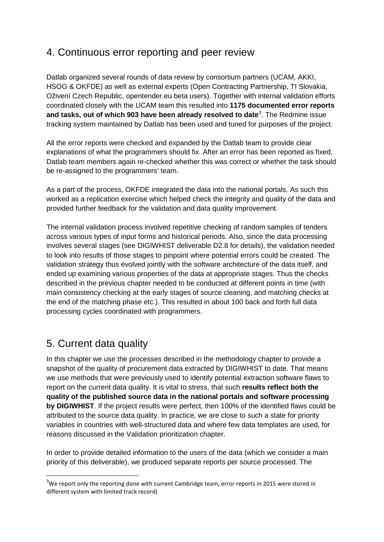## 4. Continuous error reporting and peer review

Datlab organized several rounds of data review by consortium partners (UCAM, AKKI, HSOG & OKFDE) as well as external experts (Open Contracting Partnership, TI Slovakia, Oživení Czech Republic, opentender.eu beta users). Together with internal validation efforts coordinated closely with the UCAM team this resulted into **1175 documented error reports and tasks, out of which 903 have been already resolved to date**[3](#page-4-0) . The Redmine issue tracking system maintained by Datlab has been used and tuned for purposes of the project.

All the error reports were checked and expanded by the Datlab team to provide clear explanations of what the programmers should fix. After an error has been reported as fixed, Datlab team members again re-checked whether this was correct or whether the task should be re-assigned to the programmers' team.

As a part of the process, OKFDE integrated the data into the national portals. As such this worked as a replication exercise which helped check the integrity and quality of the data and provided further feedback for the validation and data quality improvement.

The internal validation process involved repetitive checking of random samples of tenders across various types of input forms and historical periods. Also, since the data processing involves several stages (see DIGIWHIST deliverable D2.8 for details), the validation needed to look into results of those stages to pinpoint where potential errors could be created. The validation strategy thus evolved jointly with the software architecture of the data itself, and ended up examining various properties of the data at appropriate stages. Thus the checks described in the previous chapter needed to be conducted at different points in time (with main consistency checking at the early stages of source cleaning, and matching checks at the end of the matching phase etc.). This resulted in about 100 back and forth full data processing cycles coordinated with programmers.

# 5. Current data quality

In this chapter we use the processes described in the methodology chapter to provide a snapshot of the quality of procurement data extracted by DIGIWHIST to date. That means we use methods that were previously used to identify potential extraction software flaws to report on the current data quality. It is vital to stress, that such **results reflect both the quality of the published source data in the national portals and software processing by DIGIWHIST**. If the project results were perfect, then 100% of the identified flaws could be attributed to the source data quality. In practice, we are close to such a state for priority variables in countries with well-structured data and where few data templates are used, for reasons discussed in the Validation prioritization chapter.

In order to provide detailed information to the users of the data (which we consider a main priority of this deliverable), we produced separate reports per source processed. The

<span id="page-4-0"></span> $\frac{1}{3}$  $3$ We report only the reporting done with current Cambridge team, error reports in 2015 were stored in different system with limited track record)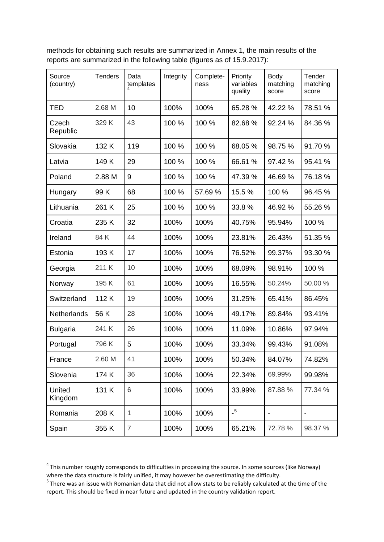methods for obtaining such results are summarized in Annex 1, the main results of the reports are summarized in the following table (figures as of 15.9.2017):

| Source<br>(country) | <b>Tenders</b> | Data<br>templates | Integrity | Complete-<br>ness | Priority<br>variables<br>quality         | Body<br>matching<br>score | Tender<br>matching<br>score |
|---------------------|----------------|-------------------|-----------|-------------------|------------------------------------------|---------------------------|-----------------------------|
| <b>TED</b>          | 2.68 M         | 10                | 100%      | 100%              | 65.28 %                                  | 42.22 %                   | 78.51 %                     |
| Czech<br>Republic   | 329K           | 43                | 100 %     | 100 %             | 82.68%                                   | 92.24 %                   | 84.36 %                     |
| Slovakia            | 132 K          | 119               | 100 %     | 100 %             | 68.05 %                                  | 98.75 %                   | 91.70%                      |
| Latvia              | 149K           | 29                | 100 %     | 100 %             | 66.61 %                                  | 97.42 %                   | 95.41 %                     |
| Poland              | 2.88 M         | 9                 | 100 %     | 100 %             | 47.39 %                                  | 46.69%                    | 76.18%                      |
| Hungary             | 99K            | 68                | 100 %     | 57.69 %           | 15.5%                                    | 100 %                     | 96.45 %                     |
| Lithuania           | 261 K          | 25                | 100 %     | 100 %             | 33.8%                                    | 46.92 %                   | 55.26 %                     |
| Croatia             | 235K           | 32                | 100%      | 100%              | 40.75%                                   | 95.94%                    | 100 %                       |
| Ireland             | 84K            | 44                | 100%      | 100%              | 23.81%                                   | 26.43%                    | 51.35 %                     |
| Estonia             | 193K           | 17                | 100%      | 100%              | 76.52%                                   | 99.37%                    | 93.30 %                     |
| Georgia             | 211 K          | 10                | 100%      | 100%              | 68.09%                                   | 98.91%                    | 100 %                       |
| Norway              | 195K           | 61                | 100%      | 100%              | 16.55%                                   | 50.24%                    | 50.00 %                     |
| Switzerland         | 112K           | 19                | 100%      | 100%              | 31.25%                                   | 65.41%                    | 86.45%                      |
| Netherlands         | 56 K           | 28                | 100%      | 100%              | 49.17%                                   | 89.84%                    | 93.41%                      |
| <b>Bulgaria</b>     | 241 K          | 26                | 100%      | 100%              | 11.09%                                   | 10.86%                    | 97.94%                      |
| Portugal            | 796K           | 5                 | 100%      | 100%              | 33.34%                                   | 99.43%                    | 91.08%                      |
| France              | 2.60 M         | 41                | 100%      | 100%              | 50.34%                                   | 84.07%                    | 74.82%                      |
| Slovenia            | 174K           | 36                | 100%      | 100%              | 22.34%                                   | 69.99%                    | 99.98%                      |
| United<br>Kingdom   | 131 K          | 6                 | 100%      | 100%              | 33.99%                                   | 87.88 %                   | 77.34 %                     |
| Romania             | 208 K          | $\mathbf{1}$      | 100%      | 100%              | $\overline{\phantom{0}}^{\phantom{0}}$ 5 | ÷,                        | $\overline{a}$              |
| Spain               | 355 K          | $\overline{7}$    | 100%      | 100%              | 65.21%                                   | 72.78 %                   | 98.37 %                     |

<span id="page-5-0"></span><sup>&</sup>lt;sup>4</sup> This number roughly corresponds to difficulties in processing the source. In some sources (like Norway) where the data structure is fairly unified, it may however be overestimating the difficulty.

<span id="page-5-1"></span><sup>&</sup>lt;sup>5</sup> There was an issue with Romanian data that did not allow stats to be reliably calculated at the time of the report. This should be fixed in near future and updated in the country validation report.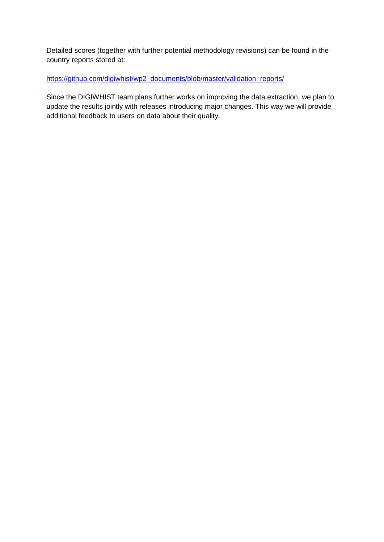Detailed scores (together with further potential methodology revisions) can be found in the country reports stored at:

[https://github.com/digiwhist/wp2\\_documents/blob/master/validation\\_reports/](https://github.com/digiwhist/wp2_documents/blob/master/validation_reports/)

Since the DIGIWHIST team plans further works on improving the data extraction, we plan to update the results jointly with releases introducing major changes. This way we will provide additional feedback to users on data about their quality.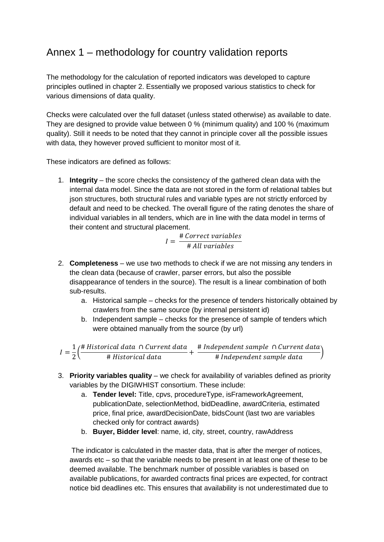# Annex 1 – methodology for country validation reports

The methodology for the calculation of reported indicators was developed to capture principles outlined in chapter 2. Essentially we proposed various statistics to check for various dimensions of data quality.

Checks were calculated over the full dataset (unless stated otherwise) as available to date. They are designed to provide value between 0 % (minimum quality) and 100 % (maximum quality). Still it needs to be noted that they cannot in principle cover all the possible issues with data, they however proved sufficient to monitor most of it.

These indicators are defined as follows:

1. **Integrity** – the score checks the consistency of the gathered clean data with the internal data model. Since the data are not stored in the form of relational tables but json structures, both structural rules and variable types are not strictly enforced by default and need to be checked. The overall figure of the rating denotes the share of individual variables in all tenders, which are in line with the data model in terms of their content and structural placement.

$$
I = \frac{\text{# Correct variables}}{\text{# All variables}}
$$

- 2. **Completeness** we use two methods to check if we are not missing any tenders in the clean data (because of crawler, parser errors, but also the possible disappearance of tenders in the source). The result is a linear combination of both sub-results.
	- a. Historical sample checks for the presence of tenders historically obtained by crawlers from the same source (by internal persistent id)
	- b. Independent sample checks for the presence of sample of tenders which were obtained manually from the source (by url)

 $I=\frac{1}{2}$  $\left(\frac{1}{2}\right)$ # Historical data ∩ Current d # <sup>+</sup> # Independent sample ∩Current d # Independent sample data

- 3. **Priority variables quality**  we check for availability of variables defined as priority variables by the DIGIWHIST consortium. These include:
	- a. **Tender level:** Title, cpvs, procedureType, isFrameworkAgreement, publicationDate, selectionMethod, bidDeadline, awardCriteria, estimated price, final price, awardDecisionDate, bidsCount (last two are variables checked only for contract awards)
	- b. **Buyer, Bidder level**: name, id, city, street, country, rawAddress

The indicator is calculated in the master data, that is after the merger of notices, awards etc – so that the variable needs to be present in at least one of these to be deemed available. The benchmark number of possible variables is based on available publications, for awarded contracts final prices are expected, for contract notice bid deadlines etc. This ensures that availability is not underestimated due to